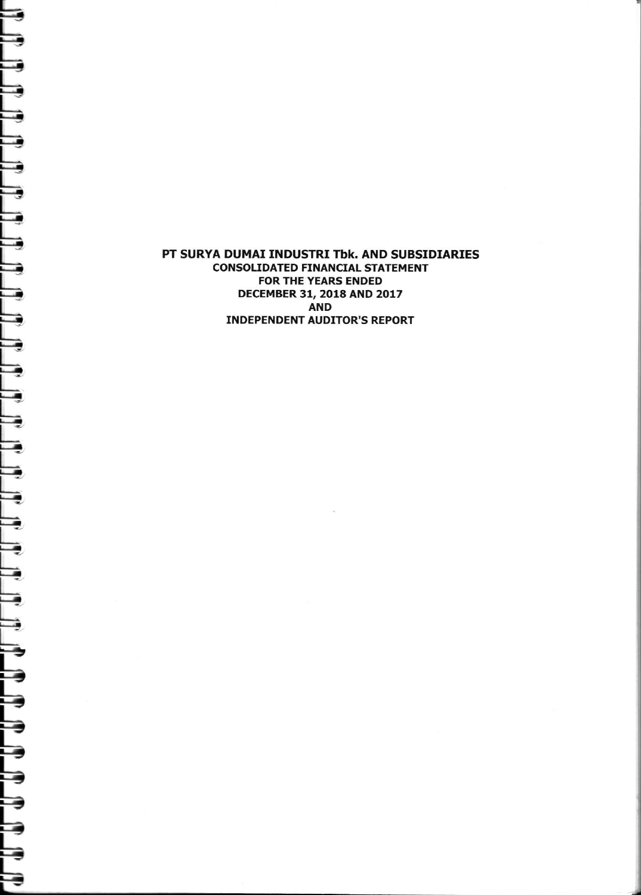## PT SURYA DUMAI INDUSTRI Tbk. AND SUBSIDIARIES **CONSOLIDATED FINANCIAL STATEMENT** FOR THE YEARS ENDED DECEMBER 31, 2018 AND 2017 **AND INDEPENDENT AUDITOR'S REPORT**

e

Ę

J

J

L

J.

€

d.

 $\overline{\phantom{a}}$ 

- 9

—

 $\Rightarrow$ 

⇛

€

⋾

€

₹

⋾

⇛

Þ

F

€

⋑

Ę

⋻

⊟

➡

⊟

⋻

⊟

е

Е

E

F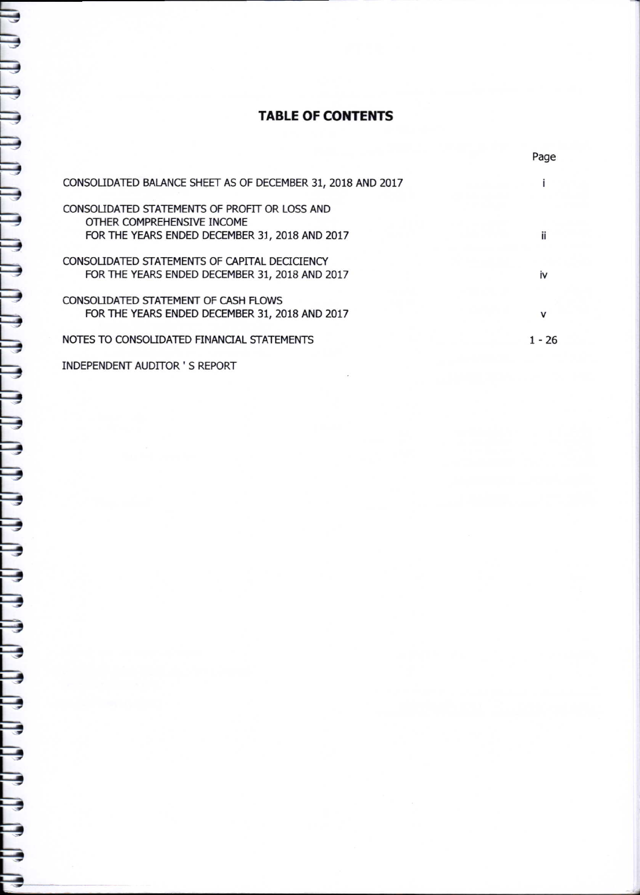# TABLE OF CONTENTS

|                                                                                                                               | Page   |
|-------------------------------------------------------------------------------------------------------------------------------|--------|
| CONSOLIDATED BALANCE SHEET AS OF DECEMBER 31, 2018 AND 2017                                                                   |        |
| CONSOLIDATED STATEMENTS OF PROFIT OR LOSS AND<br>OTHER COMPREHENSIVE INCOME<br>FOR THE YEARS ENDED DECEMBER 31, 2018 AND 2017 |        |
| CONSOLIDATED STATEMENTS OF CAPITAL DECICIENCY<br>FOR THE YEARS ENDED DECEMBER 31, 2018 AND 2017                               | iv     |
| CONSOLIDATED STATEMENT OF CASH FLOWS<br>FOR THE YEARS ENDED DECEMBER 31, 2018 AND 2017                                        | v      |
| NOTES TO CONSOLIDATED FINANCIAL STATEMENTS                                                                                    | 1 - 26 |

INDEPENDENT AUDITOR ' S REPORT

Ξ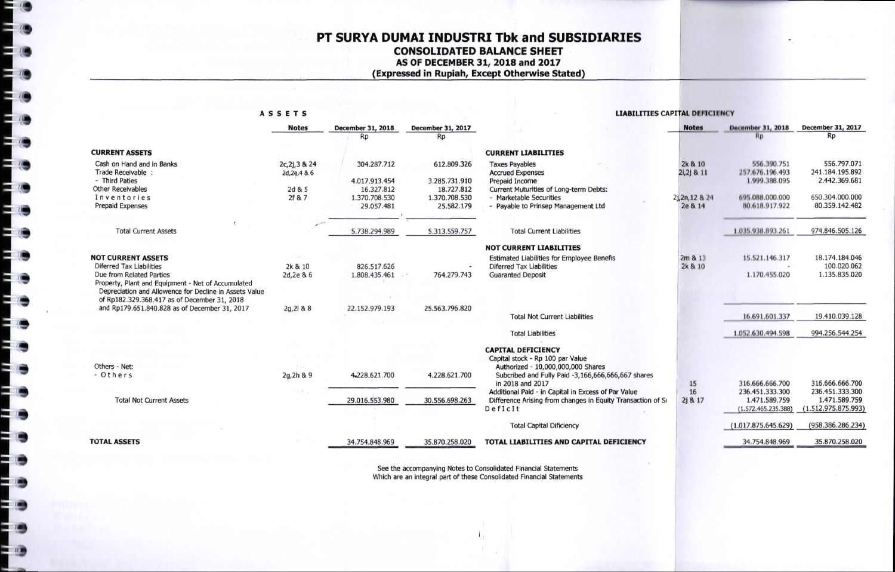## PT SURYA DUMAI INDUSTRI Tbk and SUBSIDIARIES **CONSOLIDATED BALANCE SHEET** AS OF DECEMBER 31, 2018 and 2017 (Expressed in Rupiah, Except Otherwise Stated)

#### **ASSETS**

 $\mathbf{u}$ 

 $\frac{1}{2}$ 

#### **LIABILITIES CAPITAL DEFICIENCY**

|                                                                                                              | <b>Notes</b>   | December 31, 2018 | December 31, 2017 |                                                             | <b>Notes</b>    | <b>December 31, 2018</b> | December 31, 2017   |
|--------------------------------------------------------------------------------------------------------------|----------------|-------------------|-------------------|-------------------------------------------------------------|-----------------|--------------------------|---------------------|
|                                                                                                              |                | <b>Rp</b>         | Rp                |                                                             |                 | RD                       | Rp                  |
| <b>CURRENT ASSETS</b>                                                                                        |                |                   |                   | <b>CURRENT LIABILITIES</b>                                  |                 |                          |                     |
| Cash on Hand and in Banks                                                                                    | 2c, 2j, 3 & 24 | 304.287.712       | 612.809.326       | <b>Taxes Payables</b>                                       | 2k & 10         | 556.390.751              | 556.797.071         |
| Trade Receivable :                                                                                           | 2d, 2e, 4 & 6  |                   |                   | <b>Accrued Expenses</b>                                     | 2i, 2j & 11     | 257.676.196.493          | 241.184.195.892     |
| - Third Paties                                                                                               |                | 4.017.913.454     | 3.285.731.910     | Prepaid Income                                              |                 | 1.999.388.095            | 2.442.369.681       |
| <b>Other Receivables</b>                                                                                     | 2d & 5         | 16.327.812        | 18.727.812        | Current Muturities of Long-term Debts:                      |                 |                          |                     |
| Inventories                                                                                                  | 2f & 7         | 1.370.708.530     | 1.370.708.530     | - Marketable Securities                                     | 2i, 2n, 12 & 24 | 695.088.000.000          | 650.304.000.000     |
| <b>Prepaid Expenses</b>                                                                                      |                | 29.057.481        | 25.582.179        | - Payable to Prinsep Management Ltd                         | 2e & 14         | 80.618.917.922           | 80.359.142.482      |
|                                                                                                              |                |                   |                   |                                                             |                 |                          |                     |
| <b>Total Current Assets</b>                                                                                  |                | 5.738.294.989     | 5.313.559.757     | <b>Total Current Liabilities</b>                            |                 | 1.035.938.893.261        | 974.846.505.126     |
|                                                                                                              |                |                   |                   | <b>NOT CURRENT LIABILITIES</b>                              |                 |                          |                     |
| <b>NOT CURRENT ASSETS</b>                                                                                    |                |                   |                   | Estimated Liabilities for Employee Benefis                  | 2m 8 13         | 15.521.146.317           | 18.174.184.046      |
| <b>Diferred Tax Liabilities</b>                                                                              | 2k & 10        | 826.517.626       |                   | <b>Diferred Tax Liabilities</b>                             | 2k & 10         |                          | 100.020.062         |
| Due from Related Parties                                                                                     | 2d, 2e & 6     | 1.808.435.461     | 764.279.743       | <b>Guaranted Deposit</b>                                    |                 | 1.170.455.020            | 1.135.835.020       |
| Property, Plant and Equipment - Net of Accumulated<br>Depreciation and Allowence for Decline in Assets Value |                |                   |                   |                                                             |                 |                          |                     |
| of Rp182.329.368.417 as of December 31, 2018                                                                 |                |                   |                   |                                                             |                 |                          |                     |
| and Rp179.651.840.828 as of December 31, 2017                                                                | $2q, 2l$ & 8   | 22.152.979.193    | 25.563.796.820    |                                                             |                 |                          |                     |
|                                                                                                              |                |                   |                   | <b>Total Not Current Liabilities</b>                        |                 | 16.691.601.337           | 19.410.039.128      |
|                                                                                                              |                |                   |                   |                                                             |                 |                          |                     |
|                                                                                                              |                |                   |                   | <b>Total Liabilities</b>                                    |                 | 1.052.630.494.598        | 994.256.544.254     |
|                                                                                                              |                |                   |                   | <b>CAPITAL DEFICIENCY</b>                                   |                 |                          |                     |
|                                                                                                              |                |                   |                   | Capital stock - Rp 100 par Value                            |                 |                          |                     |
| Others - Net:                                                                                                |                |                   |                   | Authorized - 10,000,000,000 Shares                          |                 |                          |                     |
| - Others                                                                                                     | 2g, 2h & 9     | 4,228.621.700     | 4.228.621.700     | Subcribed and Fully Paid -3,166,666,666,667 shares          |                 |                          |                     |
|                                                                                                              |                |                   |                   | in 2018 and 2017                                            | 15              | 316.666.666.700          | 316.666.666.700     |
|                                                                                                              |                |                   |                   | Additional Paid - in Capital in Excess of Par Value         | 16              | 236.451.333.300          | 236.451.333.300     |
| <b>Total Not Current Assets</b>                                                                              |                | 29.016.553.980    | 30.556.698.263    | Difference Arising from changes in Equity Transaction of Su | 2j & 17         | 1.471.589.759            | 1.471.589.759       |
|                                                                                                              |                |                   |                   | DefIcIt                                                     |                 | (1.572.465.235.388)      | (1.512.975.875.993) |
|                                                                                                              |                |                   |                   | <b>Total Capital Dificiency</b>                             |                 | (1.017.875.645.629)      | (958.386.286.234)   |
|                                                                                                              |                |                   |                   |                                                             |                 |                          |                     |
| <b>TOTAL ASSETS</b>                                                                                          |                | 34.754.848.969    | 35.870.258.020    | TOTAL LIABILITIES AND CAPITAL DEFICIENCY                    |                 | 34.754.848.969           | 35.870.258.020      |

See the accompanying Notes to Consolidated Financial Statements<br>Which are an integral part of these Consolidated Financial Statements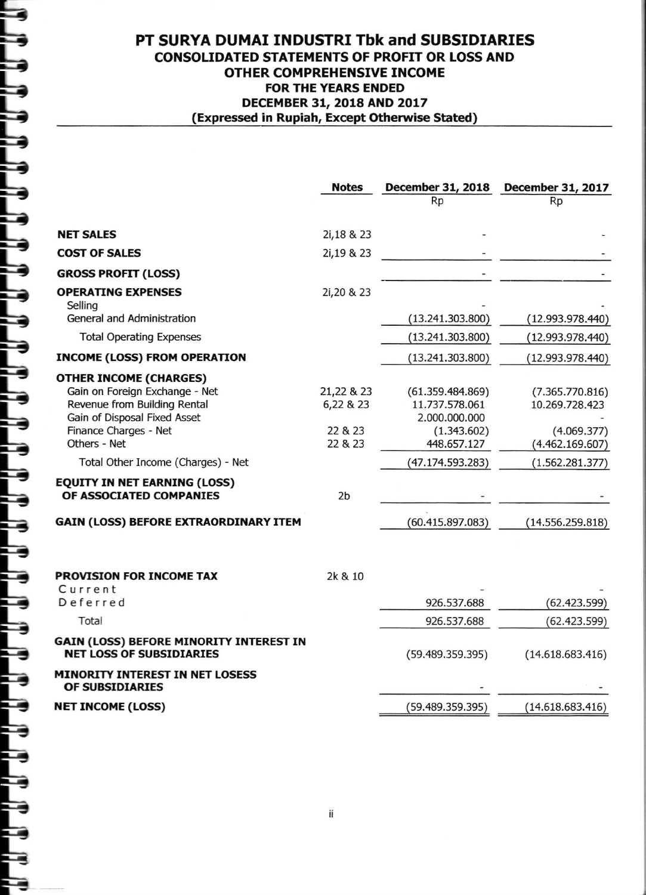|                                                                                                                                                                                                                                                                                                                                  | <b>Notes</b>                                                    | Rp                                                                                                                        | December 31, 2018 December 31, 2017<br>Rp                                                                  |
|----------------------------------------------------------------------------------------------------------------------------------------------------------------------------------------------------------------------------------------------------------------------------------------------------------------------------------|-----------------------------------------------------------------|---------------------------------------------------------------------------------------------------------------------------|------------------------------------------------------------------------------------------------------------|
|                                                                                                                                                                                                                                                                                                                                  |                                                                 |                                                                                                                           |                                                                                                            |
| <b>NET SALES</b>                                                                                                                                                                                                                                                                                                                 | 2i,18 & 23                                                      |                                                                                                                           |                                                                                                            |
| <b>COST OF SALES</b>                                                                                                                                                                                                                                                                                                             | 2i,19 & 23                                                      |                                                                                                                           |                                                                                                            |
| <b>GROSS PROFIT (LOSS)</b>                                                                                                                                                                                                                                                                                                       |                                                                 |                                                                                                                           |                                                                                                            |
| <b>OPERATING EXPENSES</b><br>Selling                                                                                                                                                                                                                                                                                             | 2i, 20 & 23                                                     |                                                                                                                           |                                                                                                            |
| <b>General and Administration</b>                                                                                                                                                                                                                                                                                                |                                                                 | (13.241.303.800)                                                                                                          | (12.993.978.440)                                                                                           |
| <b>Total Operating Expenses</b>                                                                                                                                                                                                                                                                                                  |                                                                 | (13.241.303.800)                                                                                                          | (12.993.978.440)                                                                                           |
| <b>INCOME (LOSS) FROM OPERATION</b>                                                                                                                                                                                                                                                                                              |                                                                 | (13.241.303.800)                                                                                                          | (12.993.978.440)                                                                                           |
| <b>OTHER INCOME (CHARGES)</b><br>Gain on Foreign Exchange - Net<br>Revenue from Building Rental<br>Gain of Disposal Fixed Asset<br>Finance Charges - Net<br>Others - Net<br>Total Other Income (Charges) - Net<br><b>EQUITY IN NET EARNING (LOSS)</b><br>OF ASSOCIATED COMPANIES<br><b>GAIN (LOSS) BEFORE EXTRAORDINARY ITEM</b> | 21,22 & 23<br>6,22 & 23<br>22 & 23<br>22 & 23<br>2 <sub>b</sub> | (61.359.484.869)<br>11.737.578.061<br>2.000.000.000<br>(1.343.602)<br>448.657.127<br>(47.174.593.283)<br>(60.415.897.083) | (7.365.770.816)<br>10.269.728.423<br>(4.069.377)<br>(4.462.169.607)<br>(1.562.281.377)<br>(14.556.259.818) |
| <b>PROVISION FOR INCOME TAX</b><br>Current<br>Deferred<br>Total                                                                                                                                                                                                                                                                  | 2k & 10                                                         | 926.537.688<br>926.537.688                                                                                                | (62.423.599)<br>(62.423.599)                                                                               |
| GAIN (LOSS) BEFORE MINORITY INTEREST IN<br><b>NET LOSS OF SUBSIDIARIES</b>                                                                                                                                                                                                                                                       |                                                                 | (59.489.359.395)                                                                                                          | (14.618.683.416)                                                                                           |
| <b>MINORITY INTEREST IN NET LOSESS</b><br>OF SUBSIDIARIES                                                                                                                                                                                                                                                                        |                                                                 |                                                                                                                           |                                                                                                            |
| <b>NET INCOME (LOSS)</b>                                                                                                                                                                                                                                                                                                         |                                                                 | (59.489.359.395)                                                                                                          | (14.618.683.416)                                                                                           |
|                                                                                                                                                                                                                                                                                                                                  |                                                                 |                                                                                                                           |                                                                                                            |

. .

۰

ø

F